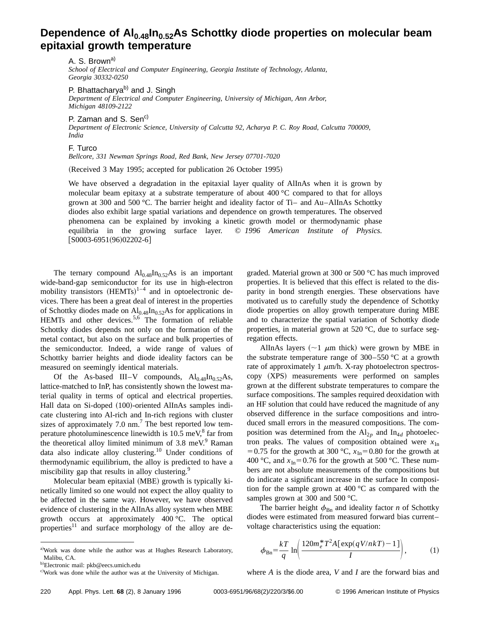## Dependence of Al<sub>0.48</sub>In<sub>0.52</sub>As Schottky diode properties on molecular beam **epitaxial growth temperature**

A. S. Brown<sup>a)</sup> *School of Electrical and Computer Engineering, Georgia Institute of Technology, Atlanta, Georgia 30332-0250*

P. Bhattacharya<sup>b)</sup> and J. Singh

*Department of Electrical and Computer Engineering, University of Michigan, Ann Arbor, Michigan 48109-2122*

P. Zaman and S. Sen<sup>c)</sup>

*Department of Electronic Science, University of Calcutta 92, Acharya P. C. Roy Road, Calcutta 700009, India*

## F. Turco

*Bellcore, 331 Newman Springs Road, Red Bank, New Jersey 07701-7020*

(Received 3 May 1995; accepted for publication 26 October 1995)

We have observed a degradation in the epitaxial layer quality of AlInAs when it is grown by molecular beam epitaxy at a substrate temperature of about  $400^{\circ}$ C compared to that for alloys grown at 300 and 500  $^{\circ}$ C. The barrier height and ideality factor of Ti- and Au-AlInAs Schottky diodes also exhibit large spatial variations and dependence on growth temperatures. The observed phenomena can be explained by invoking a kinetic growth model or thermodynamic phase equilibria in the growing surface layer. © *1996 American Institute of Physics.*  $[50003-6951(96)02202-6]$ 

The ternary compound  $Al_{0.48}In_{0.52}As$  is an important wide-band-gap semiconductor for its use in high-electron mobility transistors  $(HEMTs)^{1-4}$  and in optoelectronic devices. There has been a great deal of interest in the properties of Schottky diodes made on  $Al_{0.48}In_{0.52}As$  for applications in HEMTs and other devices.<sup>5,6</sup> The formation of reliable Schottky diodes depends not only on the formation of the metal contact, but also on the surface and bulk properties of the semiconductor. Indeed, a wide range of values of Schottky barrier heights and diode ideality factors can be measured on seemingly identical materials.

Of the As-based III–V compounds,  $Al_{0.48}In_{0.52}As$ , lattice-matched to InP, has consistently shown the lowest material quality in terms of optical and electrical properties. Hall data on Si-doped (100)-oriented AlInAs samples indicate clustering into Al-rich and In-rich regions with cluster sizes of approximately 7.0 nm.<sup>7</sup> The best reported low temperature photoluminescence linewidth is  $10.5 \text{ meV}^8$  far from the theoretical alloy limited minimum of  $3.8 \text{ meV}^9$  Raman data also indicate alloy clustering.<sup>10</sup> Under conditions of thermodynamic equilibrium, the alloy is predicted to have a miscibility gap that results in alloy clustering.<sup>9</sup>

Molecular beam epitaxial (MBE) growth is typically kinetically limited so one would not expect the alloy quality to be affected in the same way. However, we have observed evidence of clustering in the AlInAs alloy system when MBE growth occurs at approximately 400 °C. The optical properties<sup>11</sup> and surface morphology of the alloy are degraded. Material grown at 300 or 500 °C has much improved properties. It is believed that this effect is related to the disparity in bond strength energies. These observations have motivated us to carefully study the dependence of Schottky diode properties on alloy growth temperature during MBE and to characterize the spatial variation of Schottky diode properties, in material grown at 520 °C, due to surface segregation effects.

AlInAs layers  $(\sim 1 \mu m)$  thick) were grown by MBE in the substrate temperature range of  $300-550$  °C at a growth rate of approximately 1  $\mu$ m/h. X-ray photoelectron spectroscopy (XPS) measurements were performed on samples grown at the different substrate temperatures to compare the surface compositions. The samples required deoxidation with an HF solution that could have reduced the magnitude of any observed difference in the surface compositions and introduced small errors in the measured compositions. The composition was determined from the  $Al_{2p}$  and  $In_{4d}$  photoelectron peaks. The values of composition obtained were  $x_{\text{In}}$ = 0.75 for the growth at 300 °C,  $x_{\text{In}}$ = 0.80 for the growth at 400 °C, and  $x_{In}$ =0.76 for the growth at 500 °C. These numbers are not absolute measurements of the compositions but do indicate a significant increase in the surface In composition for the sample grown at 400 °C as compared with the samples grown at 300 and 500 °C.

The barrier height  $\phi_{Bn}$  and ideality factor *n* of Schottky diodes were estimated from measured forward bias current– voltage characteristics using the equation:

$$
\phi_{\text{Bn}} = \frac{kT}{q} \ln \left( \frac{120m_e^* T^2 A \left[ \exp(qV/nkT) - 1 \right]}{I} \right),\tag{1}
$$

where *A* is the diode area, *V* and *I* are the forward bias and

a)Work was done while the author was at Hughes Research Laboratory, Malibu, CA.

<sup>&</sup>lt;sup>b)</sup>Electronic mail: pkb@eecs.umich.edu

c) Work was done while the author was at the University of Michigan.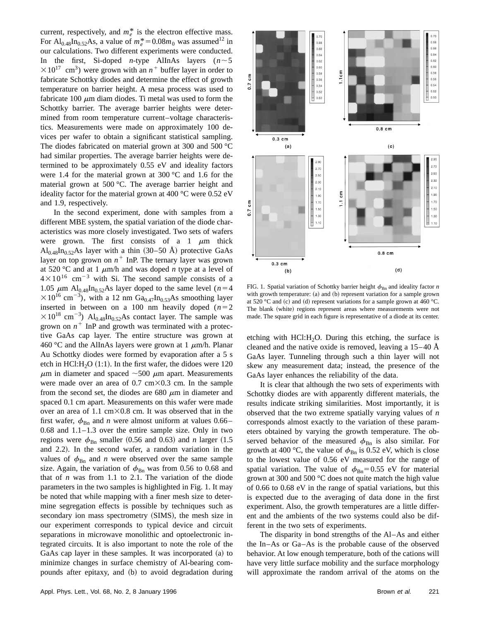current, respectively, and  $m_e^*$  is the electron effective mass. For Al<sub>0.48</sub>In<sub>0.52</sub>As, a value of  $m_e^* = 0.08m_0$  was assumed<sup>12</sup> in our calculations. Two different experiments were conducted. In the first, Si-doped *n*-type AlInAs layers  $(n \sim 5)$  $\times 10^{17}$  cm<sup>3</sup>) were grown with an  $n^+$  buffer layer in order to fabricate Schottky diodes and determine the effect of growth temperature on barrier height. A mesa process was used to fabricate 100  $\mu$ m diam diodes. Ti metal was used to form the Schottky barrier. The average barrier heights were determined from room temperature current–voltage characteristics. Measurements were made on approximately 100 devices per wafer to obtain a significant statistical sampling. The diodes fabricated on material grown at 300 and 500 °C had similar properties. The average barrier heights were determined to be approximately 0.55 eV and ideality factors were 1.4 for the material grown at 300 °C and 1.6 for the material grown at 500 °C. The average barrier height and ideality factor for the material grown at 400 °C were 0.52 eV and 1.9, respectively.

In the second experiment, done with samples from a different MBE system, the spatial variation of the diode characteristics was more closely investigated. Two sets of wafers were grown. The first consists of a 1  $\mu$ m thick  $Al_{0.48}$ In<sub>0.52</sub>As layer with a thin (30–50 Å) protective GaAs layer on top grown on  $n^+$  InP. The ternary layer was grown at 520 °C and at 1  $\mu$ m/h and was doped *n* type at a level of  $4\times10^{16}$  cm<sup>-3</sup> with Si. The second sample consists of a 1.05  $\mu$ m Al<sub>0.48</sub>In<sub>0.52</sub>As layer doped to the same level (*n* = 4  $\times 10^{16}$  cm<sup>-3</sup>), with a 12 nm Ga<sub>0.47</sub>In<sub>0.53</sub>As smoothing layer inserted in between on a 100 nm heavily doped  $(n=2)$  $\times 10^{18}$  cm<sup>-3</sup>) Al<sub>0.48</sub>In<sub>0.52</sub>As contact layer. The sample was grown on  $n^+$  InP and growth was terminated with a protective GaAs cap layer. The entire structure was grown at 460 °C and the AlInAs layers were grown at 1  $\mu$ m/h. Planar Au Schottky diodes were formed by evaporation after a 5 s etch in HCl: $H_2O (1:1)$ . In the first wafer, the didoes were 120  $\mu$ m in diameter and spaced  $\sim$ 500  $\mu$ m apart. Measurements were made over an area of  $0.7 \text{ cm} \times 0.3 \text{ cm}$ . In the sample from the second set, the diodes are 680  $\mu$ m in diameter and spaced 0.1 cm apart. Measurements on this wafer were made over an area of 1.1 cm $\times$ 0.8 cm. It was observed that in the first wafer,  $\phi_{Bn}$  and *n* were almost uniform at values 0.66– 0.68 and 1.1–1.3 over the entire sample size. Only in two regions were  $\phi_{\text{Bn}}$  smaller (0.56 and 0.63) and *n* larger (1.5) and 2.2). In the second wafer, a random variation in the values of  $\phi_{\text{Bn}}$  and *n* were observed over the same sample size. Again, the variation of  $\phi_{\text{Bn}}$  was from 0.56 to 0.68 and that of *n* was from 1.1 to 2.1. The variation of the diode parameters in the two samples is highlighted in Fig. 1. It may be noted that while mapping with a finer mesh size to determine segregation effects is possible by techniques such as secondary ion mass spectrometry (SIMS), the mesh size in our experiment corresponds to typical device and circuit separations in microwave monolithic and optoelectronic integrated circuits. It is also important to note the role of the GaAs cap layer in these samples. It was incorporated  $(a)$  to minimize changes in surface chemistry of Al-bearing compounds after epitaxy, and (b) to avoid degradation during



FIG. 1. Spatial variation of Schottky barrier height  $\phi_{Bn}$  and ideality factor *n* with growth temperature:  $(a)$  and  $(b)$  represent variation for a sample grown at 520 °C and (c) and (d) represent variations for a sample grown at 460 °C. The blank (white) regions represent areas where measurements were not made. The square grid in each figure is representative of a diode at its center.

etching with HCl: $H<sub>2</sub>O$ . During this etching, the surface is cleaned and the native oxide is removed, leaving a  $15-40$  Å GaAs layer. Tunneling through such a thin layer will not skew any measurement data; instead, the presence of the GaAs layer enhances the reliability of the data.

It is clear that although the two sets of experiments with Schottky diodes are with apparently different materials, the results indicate striking similarities. Most importantly, it is observed that the two extreme spatially varying values of *n* corresponds almost exactly to the variation of these parameters obtained by varying the growth temperature. The observed behavior of the measured  $\phi_{\text{Bn}}$  is also similar. For growth at 400 °C, the value of  $\phi_{Bn}$  is 0.52 eV, which is close to the lowest value of 0.56 eV measured for the range of spatial variation. The value of  $\phi_{Bn}$ =0.55 eV for material grown at 300 and 500 °C does not quite match the high value of 0.66 to 0.68 eV in the range of spatial variations, but this is expected due to the averaging of data done in the first experiment. Also, the growth temperatures are a little different and the ambients of the two systems could also be different in the two sets of experiments.

The disparity in bond strengths of the Al–As and either the In–As or Ga–As is the probable cause of the observed behavior. At low enough temperature, both of the cations will have very little surface mobility and the surface morphology will approximate the random arrival of the atoms on the